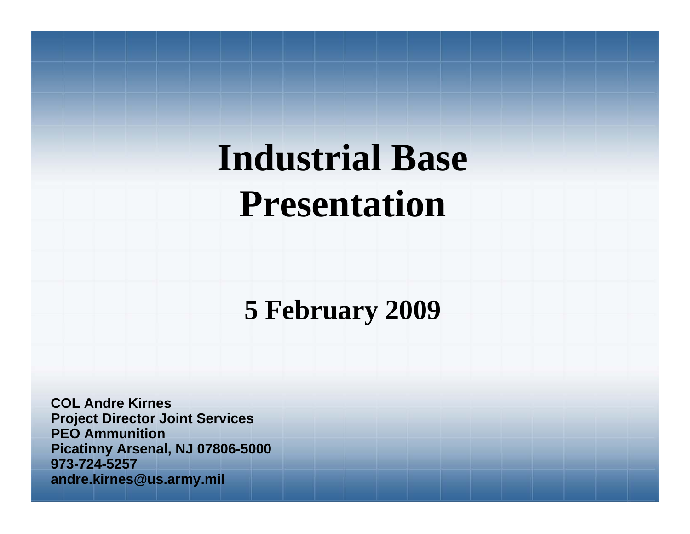# **Industrial Base Presentation**

**5 February 2009**

**COL Andre KirnesProject Director Joint Services PEO AmmunitionPicatinny Arsenal, NJ 07806-5000 973-724-5257andre.kirnes@us.army.mil**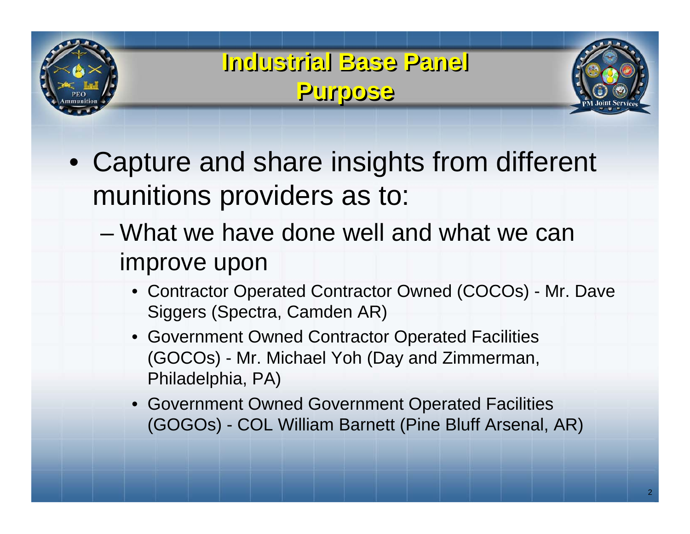

**Industrial Base Panel Industrial Base Panel Purpose Purpose**



- Capture and share insights from different munitions providers as to:
	- What we have done well and what we can improve upon
		- Contractor Operated Contractor Owned (COCOs) Mr. Dave Siggers (Spectra, Camden AR)
		- Government Owned Contractor Operated Facilities (GOCOs) - Mr. Michael Yoh (Day and Zimmerman, Philadelphia, PA)
		- Government Owned Government Operated Facilities (GOGOs) - COL William Barnett (Pine Bluff Arsenal, AR)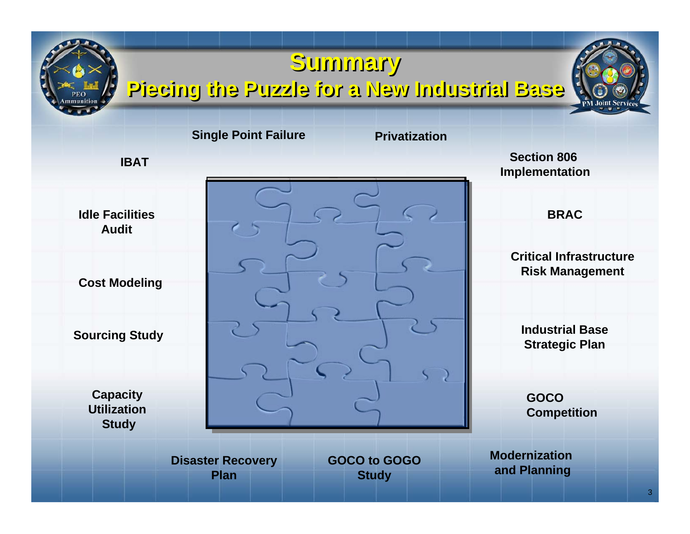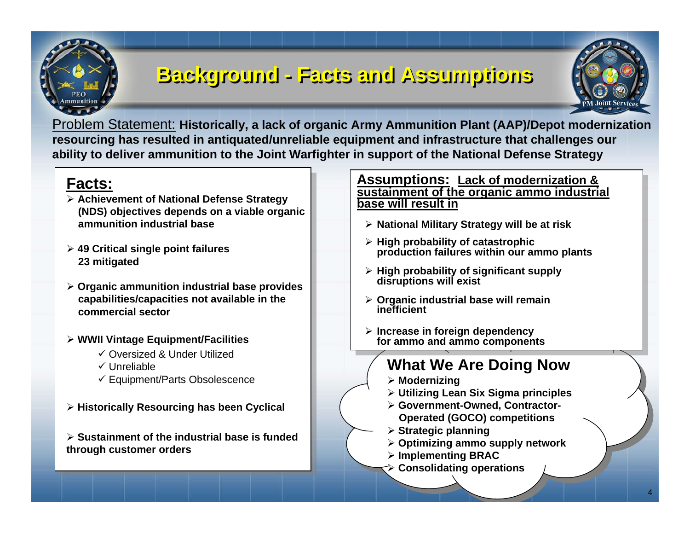### **Background - Background - FFacts and Assumptions acts and Assumptions**



Problem Statement: **Historicall y, a lack of organic Ar my A mmunition Plant (AA P)/Depot modernization resourcing h as resulted in antiquated/unreliable equipment and infrastructure that challenges our ability to deliver ammunition to the Joint Warfighter in support of the National Defen se Strategy**

### **Facts:**

- **Achievement of National Defense Strategy (NDS) o bjectives depen ds o n a viable organic ammunition industrial base**
- **49 Critical sin gle poi nt failures23 mitigated**
- $\triangleright$  Organic ammunition industrial base provides **capabilities/capacities not available in the commercial sector**
- **WWII Vintage Equipment/Facilities**
	- Oversized & Under Utilized
	- $\checkmark$  Unreliable
	- Equip me nt/Parts Obsolesce nce
- **Historically Resourci n g has been Cyclical**

 **Sustainment of t he industrial base is funded through customer orders**

### **AssAss umptions: Lack of modernization & umptions: Lack of modernization & sustainment of the organic ammo industrial sustainment of the organic ammo industrial base will result inbase will result in**

- **National Military Strategy will be at ris k National Military Strategy will be at ris k**
- **High probability of catastrophic High probability of catastrophic production failures within our ammo plants production failures within our ammo plants**
- **High probability of significant supply disruptions will exist High probability of significant supply disruptions will exist**
- **▷ Organic industrial base will remain**<br>inefficient **inefficient inefficient**
- **Increa s e in foreign dependency INCREASE IN FOREGAL ACCORDING TO THE EXT for ammo and ammo components for ammo and ammo components**

### **What We Are Doing Now What We Are Doing Now**

- **Modernizing**
- **Modernizing Utilizing Lean Six Sigma principles Utilizing Lean Six Sigma principles**
- **Government-Owned, Contractor- Government-Owned, Contractor-Operated (GOCO) competitions Operated (GOCO) competitions**
- **Strategic planning Strategic planning**
- **Optimizing ammo supply network Optimizing ammo supply network**
- **Implementing BRAC Implementing BRAC**
- **Consolidating operations Consolidating operations**

4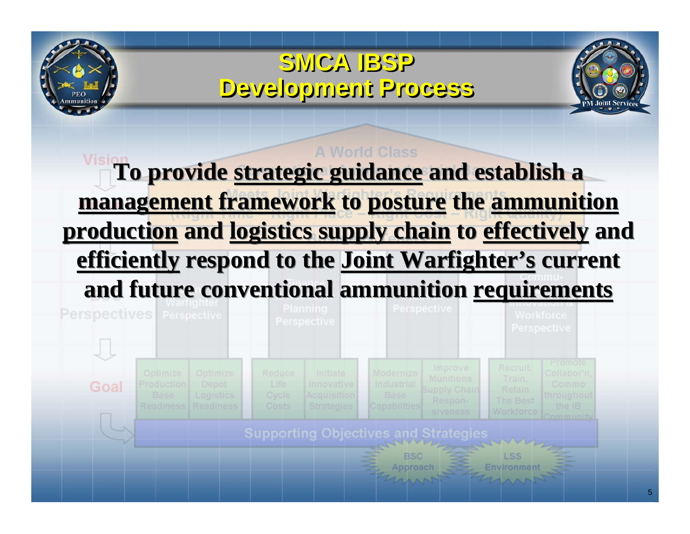## **SMCA IBSP SMCA IBSP Development Process Development Process**



## **A World Class To provide strategic guidance and establish a To provide strategic guidance and establish a management framework to posture the ammunition management framework to posture the ammunition production and logistics supply chain to effectively and production and logistics supply chain to effectively and efficiently respond to the Joint Warfighter's current efficiently respond to the Joint Warfighter's current and future conventional ammunition requirements and future conventional ammunition requirements**

| <b>Readiness</b><br>Capabilities<br>Readiness<br>Costs<br><b>Strategies</b><br>Workforce<br><b>siveness</b><br>winima | Life<br>Cycle |  | Optimize<br>Depot<br>Logistics |  |  |  | <b>Reduce</b> |  |  | Initiate<br><b>Innovative</b><br>Acquisition |  |  | Modernize<br>Industrial<br><b>Base</b> |  | Improve<br><b>Munitions</b><br><b>Supply Chain</b><br>Respon- |  |  | Recruit,<br>Train,<br><b>Retain</b><br>The Best |  | Collabor'n,<br>Commo.<br>throughout<br>the IB |
|-----------------------------------------------------------------------------------------------------------------------|---------------|--|--------------------------------|--|--|--|---------------|--|--|----------------------------------------------|--|--|----------------------------------------|--|---------------------------------------------------------------|--|--|-------------------------------------------------|--|-----------------------------------------------|
|-----------------------------------------------------------------------------------------------------------------------|---------------|--|--------------------------------|--|--|--|---------------|--|--|----------------------------------------------|--|--|----------------------------------------|--|---------------------------------------------------------------|--|--|-------------------------------------------------|--|-----------------------------------------------|